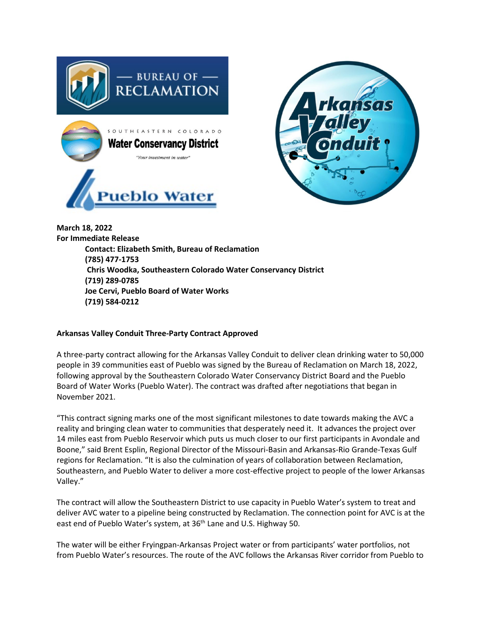



**March 18, 2022 For Immediate Release Contact: Elizabeth Smith, Bureau of Reclamation (785) 477-1753 Chris Woodka, Southeastern Colorado Water Conservancy District (719) 289-0785 Joe Cervi, Pueblo Board of Water Works (719) 584-0212**

## **Arkansas Valley Conduit Three-Party Contract Approved**

A three-party contract allowing for the Arkansas Valley Conduit to deliver clean drinking water to 50,000 people in 39 communities east of Pueblo was signed by the Bureau of Reclamation on March 18, 2022, following approval by the Southeastern Colorado Water Conservancy District Board and the Pueblo Board of Water Works (Pueblo Water). The contract was drafted after negotiations that began in November 2021.

"This contract signing marks one of the most significant milestones to date towards making the AVC a reality and bringing clean water to communities that desperately need it. It advances the project over 14 miles east from Pueblo Reservoir which puts us much closer to our first participants in Avondale and Boone," said Brent Esplin, Regional Director of the Missouri-Basin and Arkansas-Rio Grande-Texas Gulf regions for Reclamation. "It is also the culmination of years of collaboration between Reclamation, Southeastern, and Pueblo Water to deliver a more cost-effective project to people of the lower Arkansas Valley."

The contract will allow the Southeastern District to use capacity in Pueblo Water's system to treat and deliver AVC water to a pipeline being constructed by Reclamation. The connection point for AVC is at the east end of Pueblo Water's system, at 36<sup>th</sup> Lane and U.S. Highway 50.

The water will be either Fryingpan-Arkansas Project water or from participants' water portfolios, not from Pueblo Water's resources. The route of the AVC follows the Arkansas River corridor from Pueblo to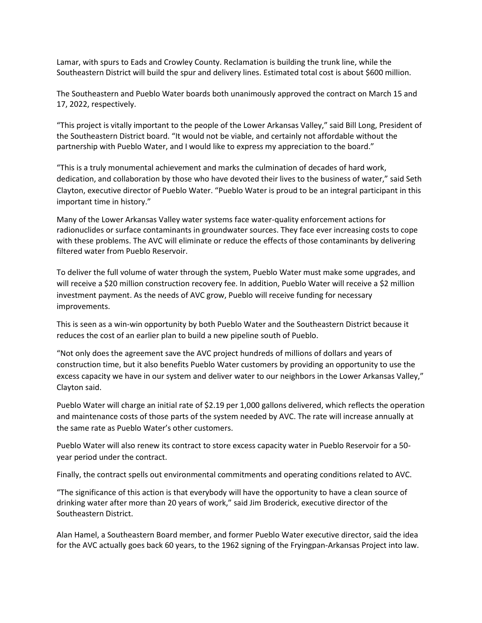Lamar, with spurs to Eads and Crowley County. Reclamation is building the trunk line, while the Southeastern District will build the spur and delivery lines. Estimated total cost is about \$600 million.

The Southeastern and Pueblo Water boards both unanimously approved the contract on March 15 and 17, 2022, respectively.

"This project is vitally important to the people of the Lower Arkansas Valley," said Bill Long, President of the Southeastern District board. "It would not be viable, and certainly not affordable without the partnership with Pueblo Water, and I would like to express my appreciation to the board."

"This is a truly monumental achievement and marks the culmination of decades of hard work, dedication, and collaboration by those who have devoted their lives to the business of water," said Seth Clayton, executive director of Pueblo Water. "Pueblo Water is proud to be an integral participant in this important time in history."

Many of the Lower Arkansas Valley water systems face water-quality enforcement actions for radionuclides or surface contaminants in groundwater sources. They face ever increasing costs to cope with these problems. The AVC will eliminate or reduce the effects of those contaminants by delivering filtered water from Pueblo Reservoir.

To deliver the full volume of water through the system, Pueblo Water must make some upgrades, and will receive a \$20 million construction recovery fee. In addition, Pueblo Water will receive a \$2 million investment payment. As the needs of AVC grow, Pueblo will receive funding for necessary improvements.

This is seen as a win-win opportunity by both Pueblo Water and the Southeastern District because it reduces the cost of an earlier plan to build a new pipeline south of Pueblo.

"Not only does the agreement save the AVC project hundreds of millions of dollars and years of construction time, but it also benefits Pueblo Water customers by providing an opportunity to use the excess capacity we have in our system and deliver water to our neighbors in the Lower Arkansas Valley," Clayton said.

Pueblo Water will charge an initial rate of \$2.19 per 1,000 gallons delivered, which reflects the operation and maintenance costs of those parts of the system needed by AVC. The rate will increase annually at the same rate as Pueblo Water's other customers.

Pueblo Water will also renew its contract to store excess capacity water in Pueblo Reservoir for a 50 year period under the contract.

Finally, the contract spells out environmental commitments and operating conditions related to AVC.

"The significance of this action is that everybody will have the opportunity to have a clean source of drinking water after more than 20 years of work," said Jim Broderick, executive director of the Southeastern District.

Alan Hamel, a Southeastern Board member, and former Pueblo Water executive director, said the idea for the AVC actually goes back 60 years, to the 1962 signing of the Fryingpan-Arkansas Project into law.